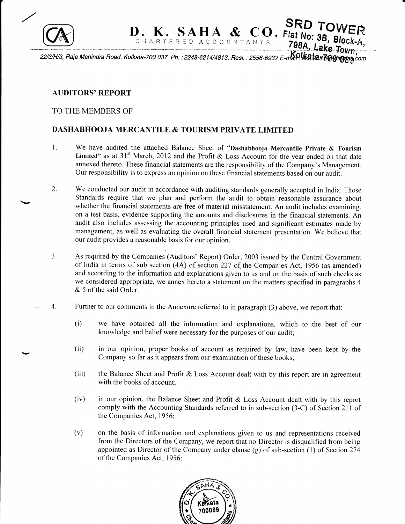

 $\,$ 

 $SAD\text{ } \text{ }SAD\text{ }TOWER$ <br>
RED ACCOUNTANTS<br>
798A, Lake Town, <u>22/3/H/3, Raja Manindra Road, Kolkata-700 037, Ph. : 2248-6214/4813, Resi. : 2556-6932 E-man PUka tas englinest com</u>

## AUDITORS'REPORT

## TO THE MEMBERS OF

## DASHABHOOJA MERCANTILE & TOURISM PRIVATE LIMITED

- We have audited the attached Balance Sheet of "Dashabhooja Mercantile Private & Tourism Limited" as at  $31<sup>st</sup>$  March, 2012 and the Profit & Loss Account for the year ended on that date annexed thereto. These financial statements are the responsibility of the Company's Management. our responsibility is to express an opinion on these financial statements based on our audit. 1.
- 2. We conducted our audit in accordance with auditing standards generally accepted in India. Those Standards require that we plan and perform the audit to obtain reasonable assurance about whether the financial statements are free of material misstatement. An audit includes examining, on a test basis, evidence supporting the amounts and disclosures in the financial statements. An audit also includes assessing the accounting principles used and significant estimates made by management, as well as evaluating the overall financial statement presentation. We believe that our audit provides a reasonable basis for our opinion.
- As required by the Companies (Auditors' Report) Order, 2003 issued by the Central Government of India in terms of sub section (4A) of section 227 of the Companies Act, 1956 (as amended and according to the information and explanations given to us and on the basis of such checks as we considered appropriate, we annex hereto a statement on the matters specified in paragraphs 4 &. 5 of the said Order. 'lJ.
- 4. Further to our comments in the Annexure refered to in paragraph (3) above, wo report that:
	- we have obtained all the information and explanations, which to the best of our knowledge and belief were necessary for the purposes of our audit; (i)
	- (ii) in our opinion, proper books of account as required by law, have been kept by the Company so far as it appears from our examination of these books;
	- (iii) the Balance Sheet and Profit  $& Loss$  Account dealt with by this report are in agreement with the books of account;
	- in our opinion, the Balance Sheet and Profit  $\&$  Loss Account dealt with by this report comply with the Accounting Standards referred to in sub-section (3-C) of Section 211 of (iv) the Companies Act, 1956;
	- on the basis of information and explanations given to us and representations received from the Directors of the Company, we report that no Director is disqualified from being appointed as Director of the Company under clause  $(g)$  of sub-section (1) of Section 274 of the Companies Act, 1956; (v)

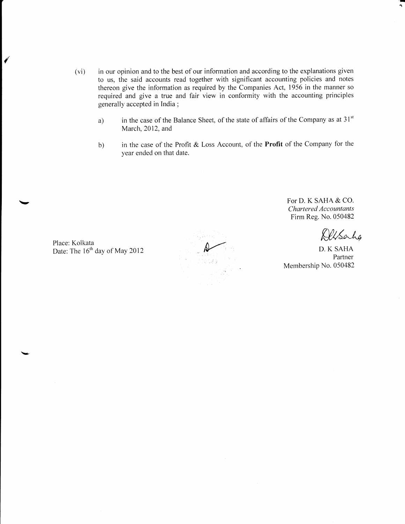- (vi) in our opinion and to the best of our information and according to the explanations given to us, the said accounts read together with significant accounting policies and notes thereon give the information as required by the Companies Act, 1956 in the manner so required and give a true and fair view in conformity with the accounting principles generally accepted in India ;
	- a) in the case of the Balance Sheet, of the state of affairs of the Company as at  $31<sup>st</sup>$ March, 2012, and
	- b) in the case of the Profit & Loss Account, of the Profit of the Company for the year ended on that date.

For D. K SAHA & CO. Chartered Accountants Firm Reg.No. 050482

Altsalig

'-E ''r

D. K SAHA Partner Membership No. 050482

Place: Kolkata Date: The 16<sup>th</sup> day of May 2012

{

 $\lambda$ 

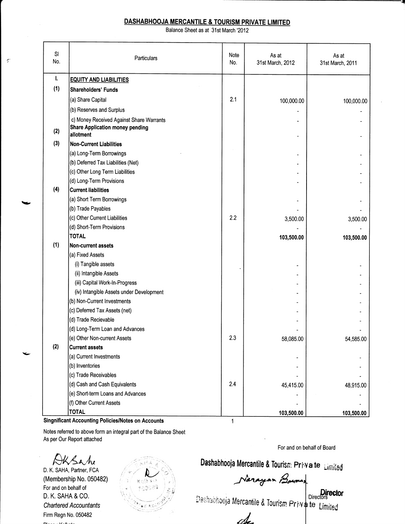## DASHABHOOJA MERCANTILE & TOURISM PRIVATE LIMITED

Balance Sheet as at 31st March '2012

| SI<br>No. | Particulars                                                         | Note<br>No. | As at<br>31st March, 2012 | As at<br>31st March, 2011 |
|-----------|---------------------------------------------------------------------|-------------|---------------------------|---------------------------|
| I.        | <b>EQUITY AND LIABILITIES</b>                                       |             |                           |                           |
| (1)       | Shareholders' Funds                                                 |             |                           |                           |
|           | (a) Share Capital                                                   | 2.1         | 100,000.00                | 100,000.00                |
|           | (b) Reserves and Surplus                                            |             |                           |                           |
|           | c) Money Received Against Share Warrants                            |             |                           |                           |
| (2)       | Share Application money pending<br>allotment                        |             |                           |                           |
| (3)       | <b>Non-Current Liabilities</b>                                      |             |                           |                           |
|           | (a) Long-Term Borrowings                                            |             |                           |                           |
|           | (b) Deferred Tax Liabilities (Net)                                  |             |                           |                           |
|           | (c) Other Long Term Liabilities                                     |             |                           |                           |
|           | (d) Long-Term Provisions                                            |             |                           |                           |
| (4)       | <b>Current liabilities</b>                                          |             |                           |                           |
|           | (a) Short Term Borrowings                                           |             |                           |                           |
|           | (b) Trade Payables                                                  |             |                           |                           |
|           | (c) Other Current Liabilities                                       | 2.2         | 3,500.00                  | 3,500.00                  |
|           | (d) Short-Term Provisions                                           |             |                           |                           |
|           | <b>TOTAL</b>                                                        |             | 103,500.00                | 103,500.00                |
| (1)       | Non-current assets                                                  |             |                           |                           |
|           | (a) Fixed Assets                                                    |             |                           |                           |
|           | (i) Tangible assets                                                 |             |                           |                           |
|           | (ii) Intangible Assets                                              |             |                           |                           |
|           | (iii) Capital Work-In-Progress                                      |             |                           |                           |
|           | (iv) Intangible Assets under Development                            |             |                           |                           |
|           | (b) Non-Current Investments                                         |             |                           |                           |
|           | (c) Deferred Tax Assets (net)                                       |             |                           |                           |
|           | (d) Trade Recievable                                                |             |                           |                           |
|           | (d) Long-Term Loan and Advances                                     |             |                           |                           |
|           | (e) Other Non-current Assets                                        | 2.3         | 58,085.00                 | 54,585.00                 |
| (2)       | <b>Current assets</b>                                               |             |                           |                           |
|           | (a) Current Investments                                             |             |                           |                           |
|           | (b) Inventories                                                     |             |                           |                           |
|           | (c) Trade Receivables                                               |             |                           |                           |
|           | (d) Cash and Cash Equivalents                                       | 2.4         | 45,415.00                 | 48,915.00                 |
|           | (e) Short-term Loans and Advances                                   |             |                           |                           |
|           | (f) Other Current Assets                                            |             |                           |                           |
|           | <b>TOTAL</b><br>Cinepificant Accounting Delisies Alates on Accounts |             | 103,500.00                | 103,500.00                |

Singnificant Accounting Policies/Notes on Accounts

Notes referred to above form an integral part of the Balance Sheet

As per Our Report attached

 $\mathcal{G}'$ 

DKSahe D. K. SAHA, Partner, FCA (Membership No. 050482) For and on behalf of D. K. SAHA & CO. Chartered Accountants Firm Regn No. 050482

For and on behalf of Board

Dashabhooja Mercantile & Tourism Priva te Limited

Directors<br>Directors

te Limited

A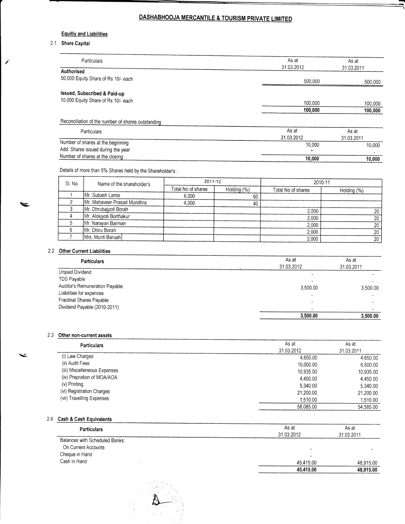# DASHABHOOJA MERCANTILE & TOURISM PRIVATE LIMITED

#### Equitiy and Liabilities

#### 2.1 Share Capital

| Particulars                                        | As at<br>31.03.2012 | As at<br>31.03.2011 |
|----------------------------------------------------|---------------------|---------------------|
| Authorised                                         |                     |                     |
| 50,000 Equity Share of Rs 10/- each                | 500,000             | 500,000             |
| Issued, Subscribed & Paid-up                       |                     |                     |
| 10,000 Equity Share of Rs 10/- each                | 100,000             | 100,000             |
|                                                    | 100,000             | 100,000             |
| Reconciliation of the number of shares outstanding |                     |                     |
| <b>Particulars</b>                                 | As at               | As at               |
|                                                    | 31.03.2012          | 31.03.2011          |
| Number of shares at the beginning                  | 10,000              | 10,000              |
| Add: Shares issued during the year                 |                     |                     |

Number of shares at the closing

## Details of more than 5% Shares held by the Shareholder's :

| SI. No | Name of the shareholder's   | 2011-12            |             | 2010-11            |             |
|--------|-----------------------------|--------------------|-------------|--------------------|-------------|
|        |                             | Total No of shares | Holding (%) | Total No of shares | Holding (%) |
|        | Mr. Subash Lama             | 6,000              | 60          |                    |             |
|        | Mr. Mahaveer Prasad Mundhra | 4,000              | 40          |                    |             |
|        | Mr. Dhrubajyoti Borah       |                    |             | 2,000              | 20          |
|        | Mr. Alokjyoti Borthakur     |                    |             | 2,000              | 20          |
|        | Mr. Narayan Barman          |                    |             | 2,000              | 20          |
|        | Mr. Dhiru Borah             |                    |             | 2.000              | 20          |
|        | Mrs. Munti Baruah           |                    |             | 2,000              | 20          |

10,000 10,000

## 2.2 Other Current Liabilities

v.

Ž

| <b>Particulars</b>             | As at                    | As at      |  |
|--------------------------------|--------------------------|------------|--|
|                                | 31.03.2012               | 31.03.2011 |  |
| Unpaid Dividend                |                          |            |  |
| TDS Payable                    |                          |            |  |
| Auditor's Remuneration Payable | 3.500.00                 | 3.500.00   |  |
| Liabilities for expences       | $\overline{\phantom{0}}$ |            |  |
| Fractinal Shares Payable       |                          |            |  |
| Dividend Payable (2010-2011)   |                          |            |  |
|                                | 3,500.00                 | 3,500.00   |  |

#### 2.3 Other non-current assets

| <b>Particulars</b>           | As at      | As at      |
|------------------------------|------------|------------|
|                              | 31.03.2012 | 31.03.2011 |
| (i) Law Charges              | 4.650.00   | 4.650.00   |
| (ii) Audit Fees              | 10,000.00  | 6.500.00   |
| (iii) Miscelleneous Expenses | 10,935.00  | 10,935.00  |
| (iv) Prepration of MOA/AOA   | 4.450.00   | 4.450.00   |
| (v) Printing                 | 5.340.00   | 5,340.00   |
| (vi) Registration Charges    | 21,200.00  | 21,200.00  |
| (vii) Travelling Expenses    | 1,510.00   | 1,510.00   |
|                              | 58.085.00  | 54,585.00  |

### 2.4 Cash & Cash Equivalents

| As at      | As at      |
|------------|------------|
| 31.03.2012 | 31.03.2011 |
|            |            |
|            |            |
|            |            |
| 45,415.00  | 48,915.00  |
| 45,415.00  | 48,915.00  |
|            |            |